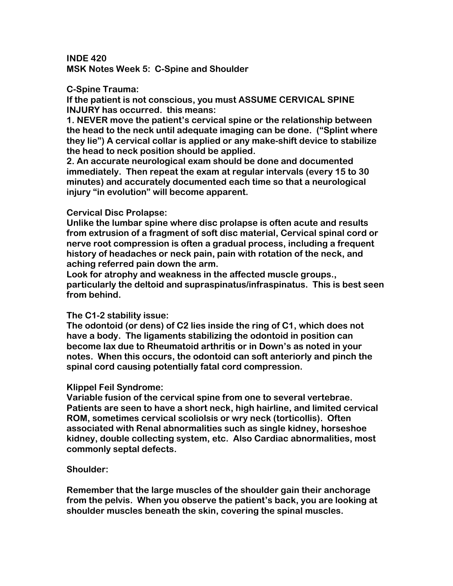**INDE 420 MSK Notes Week 5: C-Spine and Shoulder** 

#### **C-Spine Trauma:**

**If the patient is not conscious, you must ASSUME CERVICAL SPINE INJURY has occurred. this means:** 

**1. NEVER move the patient's cervical spine or the relationship between the head to the neck until adequate imaging can be done. ("Splint where they lie") A cervical collar is applied or any make-shift device to stabilize the head to neck position should be applied.** 

**2. An accurate neurological exam should be done and documented immediately. Then repeat the exam at regular intervals (every 15 to 30 minutes) and accurately documented each time so that a neurological injury "in evolution" will become apparent.** 

#### **Cervical Disc Prolapse:**

**Unlike the lumbar spine where disc prolapse is often acute and results from extrusion of a fragment of soft disc material, Cervical spinal cord or nerve root compression is often a gradual process, including a frequent history of headaches or neck pain, pain with rotation of the neck, and aching referred pain down the arm.** 

**Look for atrophy and weakness in the affected muscle groups., particularly the deltoid and supraspinatus/infraspinatus. This is best seen from behind.** 

## **The C1-2 stability issue:**

**The odontoid (or dens) of C2 lies inside the ring of C1, which does not have a body. The ligaments stabilizing the odontoid in position can become lax due to Rheumatoid arthritis or in Down's as noted in your notes. When this occurs, the odontoid can soft anteriorly and pinch the spinal cord causing potentially fatal cord compression.** 

## **Klippel Feil Syndrome:**

**Variable fusion of the cervical spine from one to several vertebrae. Patients are seen to have a short neck, high hairline, and limited cervical ROM, sometimes cervical scoliolsis or wry neck (torticollis). Often associated with Renal abnormalities such as single kidney, horseshoe kidney, double collecting system, etc. Also Cardiac abnormalities, most commonly septal defects.** 

## **Shoulder:**

**Remember that the large muscles of the shoulder gain their anchorage from the pelvis. When you observe the patient's back, you are looking at shoulder muscles beneath the skin, covering the spinal muscles.**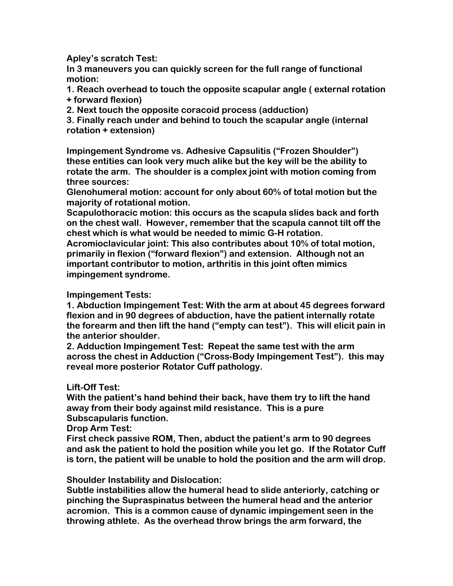**Apley's scratch Test:** 

**In 3 maneuvers you can quickly screen for the full range of functional motion:** 

**1. Reach overhead to touch the opposite scapular angle ( external rotation + forward flexion)** 

**2. Next touch the opposite coracoid process (adduction)** 

**3. Finally reach under and behind to touch the scapular angle (internal rotation + extension)** 

**Impingement Syndrome vs. Adhesive Capsulitis ("Frozen Shoulder") these entities can look very much alike but the key will be the ability to rotate the arm. The shoulder is a complex joint with motion coming from three sources:** 

**Glenohumeral motion: account for only about 60% of total motion but the majority of rotational motion.** 

**Scapulothoracic motion: this occurs as the scapula slides back and forth on the chest wall. However, remember that the scapula cannot tilt off the chest which is what would be needed to mimic G-H rotation.** 

**Acromioclavicular joint: This also contributes about 10% of total motion, primarily in flexion ("forward flexion") and extension. Although not an important contributor to motion, arthritis in this joint often mimics impingement syndrome.** 

# **Impingement Tests:**

**1. Abduction Impingement Test: With the arm at about 45 degrees forward flexion and in 90 degrees of abduction, have the patient internally rotate the forearm and then lift the hand ("empty can test"). This will elicit pain in the anterior shoulder.** 

**2. Adduction Impingement Test: Repeat the same test with the arm across the chest in Adduction ("Cross-Body Impingement Test"). this may reveal more posterior Rotator Cuff pathology.** 

# **Lift-Off Test:**

**With the patient's hand behind their back, have them try to lift the hand away from their body against mild resistance. This is a pure Subscapularis function.** 

**Drop Arm Test:** 

**First check passive ROM, Then, abduct the patient's arm to 90 degrees and ask the patient to hold the position while you let go. If the Rotator Cuff is torn, the patient will be unable to hold the position and the arm will drop.** 

## **Shoulder Instability and Dislocation:**

**Subtle instabilities allow the humeral head to slide anteriorly, catching or pinching the Supraspinatus between the humeral head and the anterior acromion. This is a common cause of dynamic impingement seen in the throwing athlete. As the overhead throw brings the arm forward, the**